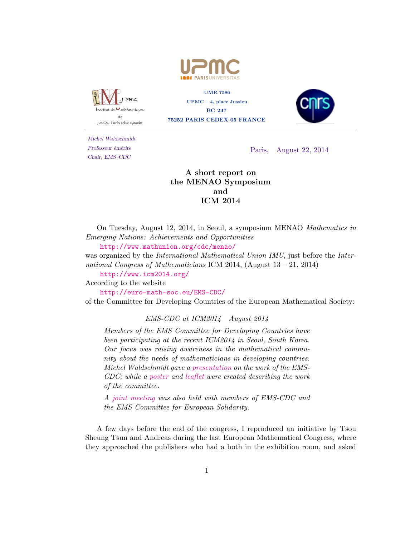



UMR 7586 UPMC – 4, place Jussieu BC 247 75252 PARIS CEDEX 05 FRANCE



Michel Waldschmidt Professeur émérite Chair, EMS–CDC

Paris, August 22, 2014

## A short report on the MENAO Symposium and ICM 2014

On Tuesday, August 12, 2014, in Seoul, a symposium MENAO Mathematics in Emerging Nations: Achievements and Opportunities

<http://www.mathunion.org/cdc/menao/>

was organized by the *International Mathematical Union IMU*, just before the *Inter*national Congress of Mathematicians ICM 2014, (August 13 – 21, 2014)

<http://www.icm2014.org/>

According to the website

<http://euro-math-soc.eu/EMS-CDC/>

of the Committee for Developing Countries of the European Mathematical Society:

## EMS-CDC at ICM2014 August 2014

Members of the EMS Committee for Developing Countries have been participating at the recent ICM2014 in Seoul, South Korea. Our focus was raising awareness in the mathematical community about the needs of mathematicians in developing countries. Michel Waldschmidt gave a [presentation](http://euro-math-soc.eu/EMS-CDC/Beamer2014.pdf) on the work of the EMS-CDC; while a [poster](http://euro-math-soc.eu/EMS-CDC/Poster2014.pdf) and [leaflet](http://euro-math-soc.eu/EMS-CDC/Leaflet2014.pdf) were created describing the work of the committee.

A [joint meeting](http://euro-math-soc.eu/EMS-CDC/MeetingSeoul15082014.pdf) was also held with members of EMS-CDC and the EMS Committee for European Solidarity.

A few days before the end of the congress, I reproduced an initiative by Tsou Sheung Tsun and Andreas during the last European Mathematical Congress, where they approached the publishers who had a both in the exhibition room, and asked